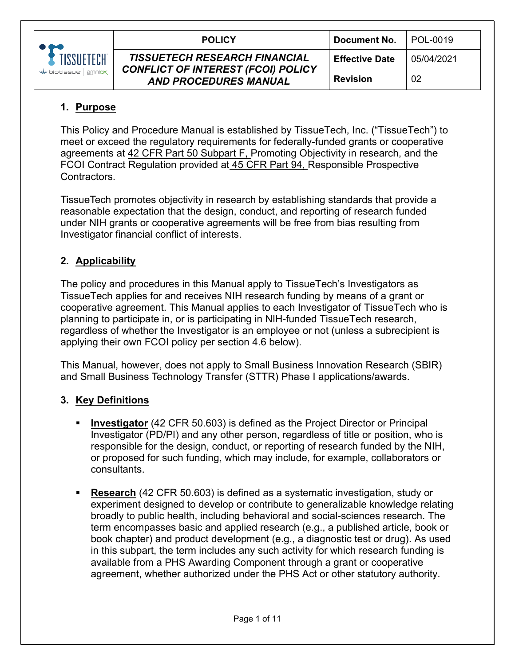

# **1. Purpose**

This Policy and Procedure Manual is established by TissueTech, Inc. ("TissueTech") to meet or exceed the regulatory requirements for federally-funded grants or cooperative agreements at 42 CFR Part 50 Subpart F, Promoting Objectivity in research, and the FCOI Contract Regulation provided at 45 CFR Part 94, Responsible Prospective Contractors.

TissueTech promotes objectivity in research by establishing standards that provide a reasonable expectation that the design, conduct, and reporting of research funded under NIH grants or cooperative agreements will be free from bias resulting from Investigator financial conflict of interests.

# **2. Applicability**

The policy and procedures in this Manual apply to TissueTech's Investigators as TissueTech applies for and receives NIH research funding by means of a grant or cooperative agreement. This Manual applies to each Investigator of TissueTech who is planning to participate in, or is participating in NIH-funded TissueTech research, regardless of whether the Investigator is an employee or not (unless a subrecipient is applying their own FCOI policy per section 4.6 below).

This Manual, however, does not apply to Small Business Innovation Research (SBIR) and Small Business Technology Transfer (STTR) Phase I applications/awards.

## **3. Key Definitions**

- **Investigator** (42 CFR 50.603) is defined as the Project Director or Principal Investigator (PD/PI) and any other person, regardless of title or position, who is responsible for the design, conduct, or reporting of research funded by the NIH, or proposed for such funding, which may include, for example, collaborators or consultants.
- **Research** (42 CFR 50.603) is defined as a systematic investigation, study or experiment designed to develop or contribute to generalizable knowledge relating broadly to public health, including behavioral and social-sciences research. The term encompasses basic and applied research (e.g., a published article, book or book chapter) and product development (e.g., a diagnostic test or drug). As used in this subpart, the term includes any such activity for which research funding is available from a PHS Awarding Component through a grant or cooperative agreement, whether authorized under the PHS Act or other statutory authority.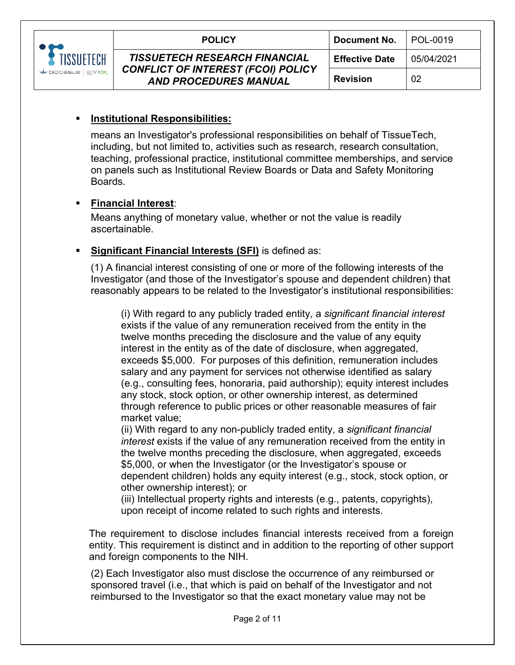

means an Investigator's professional responsibilities on behalf of TissueTech, including, but not limited to, activities such as research, research consultation, teaching, professional practice, institutional committee memberships, and service on panels such as Institutional Review Boards or Data and Safety Monitoring Boards.

### **Financial Interest**:

Means anything of monetary value, whether or not the value is readily ascertainable.

### **Significant Financial Interests (SFI)** is defined as:

(1) A financial interest consisting of one or more of the following interests of the Investigator (and those of the Investigator's spouse and dependent children) that reasonably appears to be related to the Investigator's institutional responsibilities:

(i) With regard to any publicly traded entity, a *significant financial interest*  exists if the value of any remuneration received from the entity in the twelve months preceding the disclosure and the value of any equity interest in the entity as of the date of disclosure, when aggregated, exceeds \$5,000. For purposes of this definition, remuneration includes salary and any payment for services not otherwise identified as salary (e.g., consulting fees, honoraria, paid authorship); equity interest includes any stock, stock option, or other ownership interest, as determined through reference to public prices or other reasonable measures of fair market value;

(ii) With regard to any non-publicly traded entity, a *significant financial interest* exists if the value of any remuneration received from the entity in the twelve months preceding the disclosure, when aggregated, exceeds \$5,000, or when the Investigator (or the Investigator's spouse or dependent children) holds any equity interest (e.g., stock, stock option, or other ownership interest); or

(iii) Intellectual property rights and interests (e.g., patents, copyrights), upon receipt of income related to such rights and interests.

The requirement to disclose includes financial interests received from a foreign entity. This requirement is distinct and in addition to the reporting of other support and foreign components to the NIH.

(2) Each Investigator also must disclose the occurrence of any reimbursed or sponsored travel (i.e., that which is paid on behalf of the Investigator and not reimbursed to the Investigator so that the exact monetary value may not be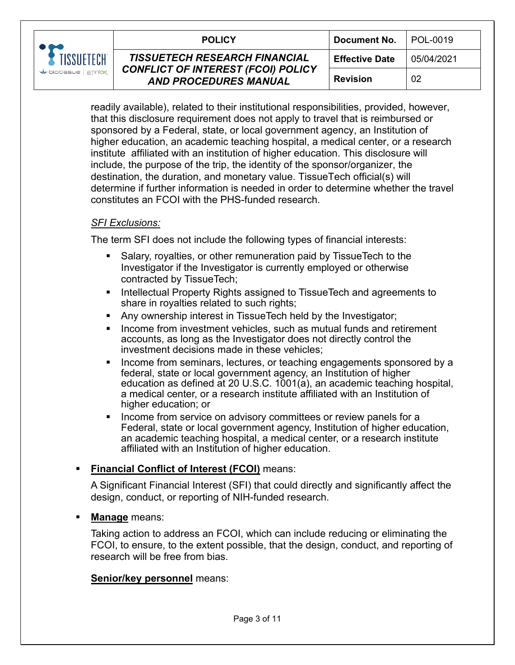

| CH<br>niox | <b>POLICY</b>                                                                                                     | <b>Document No.</b>   | I POL-0019 |
|------------|-------------------------------------------------------------------------------------------------------------------|-----------------------|------------|
|            | <b>TISSUETECH RESEARCH FINANCIAL</b><br><b>CONFLICT OF INTEREST (FCOI) POLICY</b><br><b>AND PROCEDURES MANUAL</b> | <b>Effective Date</b> | 05/04/2021 |
|            |                                                                                                                   | <b>Revision</b>       | 02         |

readily available), related to their institutional responsibilities, provided, however, that this disclosure requirement does not apply to travel that is reimbursed or sponsored by a Federal, state, or local government agency, an Institution of higher education, an academic teaching hospital, a medical center, or a research institute affiliated with an institution of higher education. This disclosure will include, the purpose of the trip, the identity of the sponsor/organizer, the destination, the duration, and monetary value. TissueTech official(s) will determine if further information is needed in order to determine whether the travel constitutes an FCOI with the PHS-funded research.

#### *SFI Exclusions:*

The term SFI does not include the following types of financial interests:

- Salary, royalties, or other remuneration paid by TissueTech to the Investigator if the Investigator is currently employed or otherwise contracted by TissueTech;
- **Intellectual Property Rights assigned to TissueTech and agreements to** share in royalties related to such rights;
- **Any ownership interest in TissueTech held by the Investigator;**
- **IF** Income from investment vehicles, such as mutual funds and retirement accounts, as long as the Investigator does not directly control the investment decisions made in these vehicles;
- **Income from seminars, lectures, or teaching engagements sponsored by a** federal, state or local government agency, an Institution of higher education as defined at 20 U.S.C. 1001(a), an academic teaching hospital, a medical center, or a research institute affiliated with an Institution of higher education; or
- Income from service on advisory committees or review panels for a Federal, state or local government agency, Institution of higher education, an academic teaching hospital, a medical center, or a research institute affiliated with an Institution of higher education.

#### **Financial Conflict of Interest (FCOI)** means:

A Significant Financial Interest (SFI) that could directly and significantly affect the design, conduct, or reporting of NIH-funded research.

#### **Manage** means:

Taking action to address an FCOI, which can include reducing or eliminating the FCOI, to ensure, to the extent possible, that the design, conduct, and reporting of research will be free from bias.

#### **Senior/key personnel** means: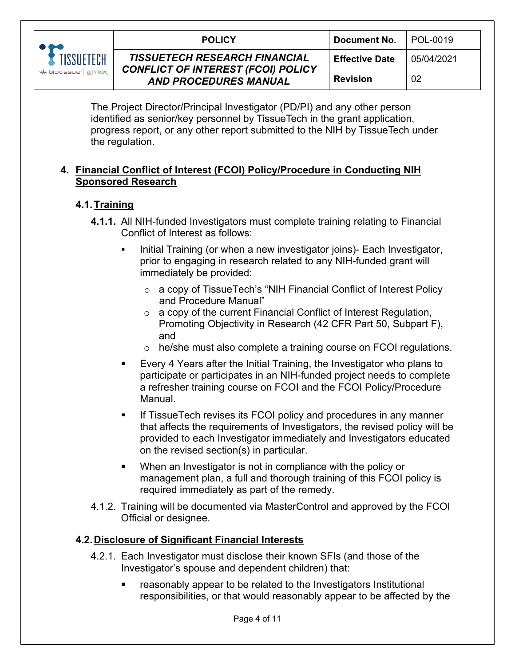

The Project Director/Principal Investigator (PD/PI) and any other person identified as senior/key personnel by TissueTech in the grant application, progress report, or any other report submitted to the NIH by TissueTech under the regulation.

## **4. Financial Conflict of Interest (FCOI) Policy/Procedure in Conducting NIH Sponsored Research**

### **4.1.Training**

- **4.1.1.** All NIH-funded Investigators must complete training relating to Financial Conflict of Interest as follows:
	- Initial Training (or when a new investigator joins)- Each Investigator, prior to engaging in research related to any NIH-funded grant will immediately be provided:
		- o a copy of TissueTech's "NIH Financial Conflict of Interest Policy and Procedure Manual"
		- $\circ$  a copy of the current Financial Conflict of Interest Regulation, Promoting Objectivity in Research (42 CFR Part 50, Subpart F), and
		- o he/she must also complete a training course on FCOI regulations.
	- Every 4 Years after the Initial Training, the Investigator who plans to participate or participates in an NIH-funded project needs to complete a refresher training course on FCOI and the FCOI Policy/Procedure Manual.
	- **If TissueTech revises its FCOI policy and procedures in any manner** that affects the requirements of Investigators, the revised policy will be provided to each Investigator immediately and Investigators educated on the revised section(s) in particular.
	- When an Investigator is not in compliance with the policy or management plan, a full and thorough training of this FCOI policy is required immediately as part of the remedy.
- 4.1.2. Training will be documented via MasterControl and approved by the FCOI Official or designee.

## **4.2.Disclosure of Significant Financial Interests**

- 4.2.1. Each Investigator must disclose their known SFIs (and those of the Investigator's spouse and dependent children) that:
	- reasonably appear to be related to the Investigators Institutional responsibilities, or that would reasonably appear to be affected by the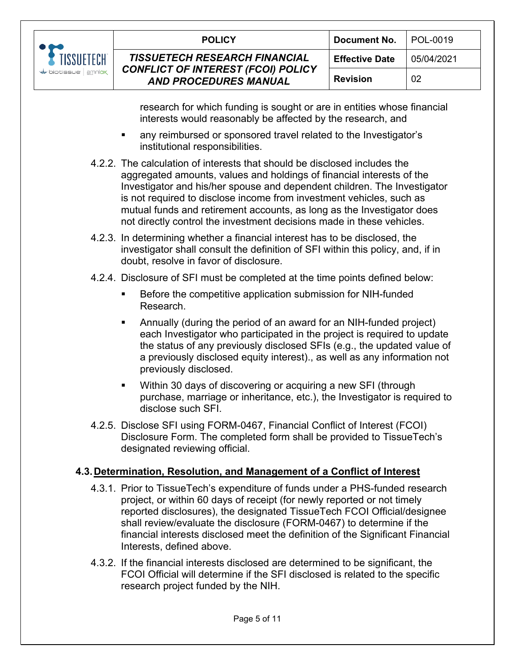

| 'ECH<br>mniox | <b>POLICY</b>                                                                                                     | Document No.          | POL-0019   |
|---------------|-------------------------------------------------------------------------------------------------------------------|-----------------------|------------|
|               | <b>TISSUETECH RESEARCH FINANCIAL</b><br><b>CONFLICT OF INTEREST (FCOI) POLICY</b><br><b>AND PROCEDURES MANUAL</b> | <b>Effective Date</b> | 05/04/2021 |
|               |                                                                                                                   | <b>Revision</b>       | 02         |

research for which funding is sought or are in entities whose financial interests would reasonably be affected by the research, and

- any reimbursed or sponsored travel related to the Investigator's institutional responsibilities.
- 4.2.2. The calculation of interests that should be disclosed includes the aggregated amounts, values and holdings of financial interests of the Investigator and his/her spouse and dependent children. The Investigator is not required to disclose income from investment vehicles, such as mutual funds and retirement accounts, as long as the Investigator does not directly control the investment decisions made in these vehicles.
- 4.2.3. In determining whether a financial interest has to be disclosed, the investigator shall consult the definition of SFI within this policy, and, if in doubt, resolve in favor of disclosure.
- 4.2.4. Disclosure of SFI must be completed at the time points defined below:
	- Before the competitive application submission for NIH-funded Research.
	- Annually (during the period of an award for an NIH-funded project) each Investigator who participated in the project is required to update the status of any previously disclosed SFIs (e.g., the updated value of a previously disclosed equity interest)., as well as any information not previously disclosed.
	- Within 30 days of discovering or acquiring a new SFI (through purchase, marriage or inheritance, etc.), the Investigator is required to disclose such SFI.
- 4.2.5. Disclose SFI using FORM-0467, Financial Conflict of Interest (FCOI) Disclosure Form. The completed form shall be provided to TissueTech's designated reviewing official.

#### **4.3.Determination, Resolution, and Management of a Conflict of Interest**

- 4.3.1. Prior to TissueTech's expenditure of funds under a PHS-funded research project, or within 60 days of receipt (for newly reported or not timely reported disclosures), the designated TissueTech FCOI Official/designee shall review/evaluate the disclosure (FORM-0467) to determine if the financial interests disclosed meet the definition of the Significant Financial Interests, defined above.
- 4.3.2. If the financial interests disclosed are determined to be significant, the FCOI Official will determine if the SFI disclosed is related to the specific research project funded by the NIH.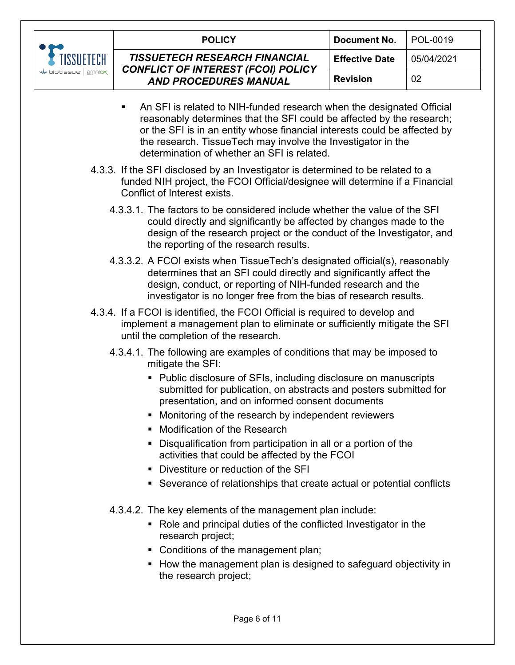

|                | <b>POLICY</b>                                                                                                     | Document No.          | POL-0019   |
|----------------|-------------------------------------------------------------------------------------------------------------------|-----------------------|------------|
| TECH<br>amniox | <b>TISSUETECH RESEARCH FINANCIAL</b><br><b>CONFLICT OF INTEREST (FCOI) POLICY</b><br><b>AND PROCEDURES MANUAL</b> | <b>Effective Date</b> | 05/04/2021 |
|                |                                                                                                                   | <b>Revision</b>       | 02         |

- An SFI is related to NIH-funded research when the designated Official reasonably determines that the SFI could be affected by the research; or the SFI is in an entity whose financial interests could be affected by the research. TissueTech may involve the Investigator in the determination of whether an SFI is related.
- 4.3.3. If the SFI disclosed by an Investigator is determined to be related to a funded NIH project, the FCOI Official/designee will determine if a Financial Conflict of Interest exists.
	- 4.3.3.1. The factors to be considered include whether the value of the SFI could directly and significantly be affected by changes made to the design of the research project or the conduct of the Investigator, and the reporting of the research results.
	- 4.3.3.2. A FCOI exists when TissueTech's designated official(s), reasonably determines that an SFI could directly and significantly affect the design, conduct, or reporting of NIH-funded research and the investigator is no longer free from the bias of research results.
- 4.3.4. If a FCOI is identified, the FCOI Official is required to develop and implement a management plan to eliminate or sufficiently mitigate the SFI until the completion of the research.
	- 4.3.4.1. The following are examples of conditions that may be imposed to mitigate the SFI:
		- Public disclosure of SFIs, including disclosure on manuscripts submitted for publication, on abstracts and posters submitted for presentation, and on informed consent documents
		- **Monitoring of the research by independent reviewers**
		- **Modification of the Research**
		- Disqualification from participation in all or a portion of the activities that could be affected by the FCOI
		- Divestiture or reduction of the SFI
		- Severance of relationships that create actual or potential conflicts
	- 4.3.4.2. The key elements of the management plan include:
		- Role and principal duties of the conflicted Investigator in the research project;
		- Conditions of the management plan;
		- How the management plan is designed to safeguard objectivity in the research project;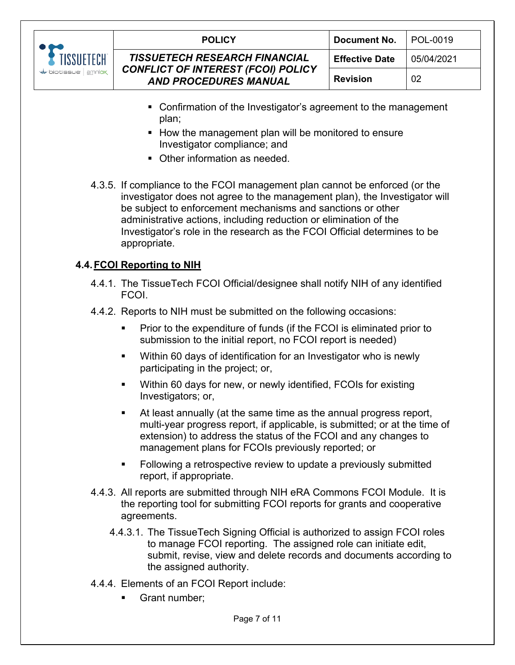

|      | <b>POLICY</b>                                                             | Document No.          | I POL-0019 |
|------|---------------------------------------------------------------------------|-----------------------|------------|
| ∶CH  | <b>TISSUETECH RESEARCH FINANCIAL</b>                                      | <b>Effective Date</b> | 05/04/2021 |
| niox | <b>CONFLICT OF INTEREST (FCOI) POLICY</b><br><b>AND PROCEDURES MANUAL</b> | <b>Revision</b>       | 02         |
|      |                                                                           |                       |            |

- Confirmation of the Investigator's agreement to the management plan;
- How the management plan will be monitored to ensure Investigator compliance; and
- Other information as needed.
- 4.3.5. If compliance to the FCOI management plan cannot be enforced (or the investigator does not agree to the management plan), the Investigator will be subject to enforcement mechanisms and sanctions or other administrative actions, including reduction or elimination of the Investigator's role in the research as the FCOI Official determines to be appropriate.

# **4.4.FCOI Reporting to NIH**

- 4.4.1. The TissueTech FCOI Official/designee shall notify NIH of any identified FCOI.
- 4.4.2. Reports to NIH must be submitted on the following occasions:
	- Prior to the expenditure of funds (if the FCOI is eliminated prior to submission to the initial report, no FCOI report is needed)
	- Within 60 days of identification for an Investigator who is newly participating in the project; or,
	- Within 60 days for new, or newly identified, FCOIs for existing Investigators; or,
	- At least annually (at the same time as the annual progress report, multi-year progress report, if applicable, is submitted; or at the time of extension) to address the status of the FCOI and any changes to management plans for FCOIs previously reported; or
	- Following a retrospective review to update a previously submitted report, if appropriate.
- 4.4.3. All reports are submitted through NIH eRA Commons FCOI Module. It is the reporting tool for submitting FCOI reports for grants and cooperative agreements.
	- 4.4.3.1. The TissueTech Signing Official is authorized to assign FCOI roles to manage FCOI reporting. The assigned role can initiate edit, submit, revise, view and delete records and documents according to the assigned authority.
- 4.4.4. Elements of an FCOI Report include:
	- Grant number;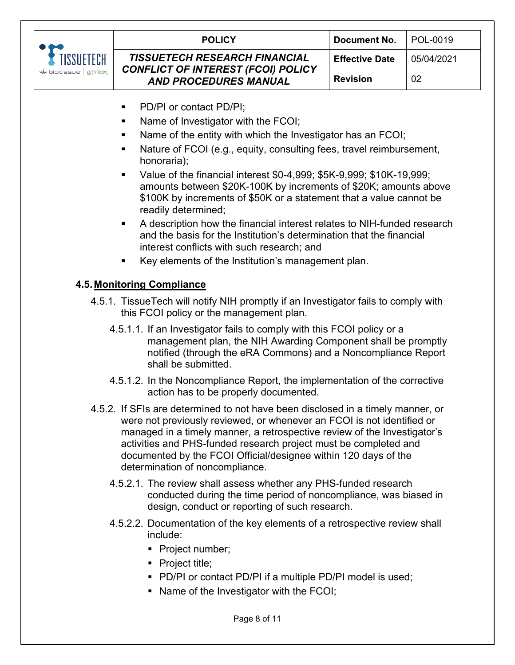

- PD/PI or contact PD/PI;
- Name of Investigator with the FCOI;
- Name of the entity with which the Investigator has an FCOI;
- Nature of FCOI (e.g., equity, consulting fees, travel reimbursement, honoraria);
- Value of the financial interest \$0-4,999; \$5K-9,999; \$10K-19,999; amounts between \$20K-100K by increments of \$20K; amounts above \$100K by increments of \$50K or a statement that a value cannot be readily determined;
- A description how the financial interest relates to NIH-funded research and the basis for the Institution's determination that the financial interest conflicts with such research; and
- Key elements of the Institution's management plan.

### **4.5.Monitoring Compliance**

- 4.5.1. TissueTech will notify NIH promptly if an Investigator fails to comply with this FCOI policy or the management plan.
	- 4.5.1.1. If an Investigator fails to comply with this FCOI policy or a management plan, the NIH Awarding Component shall be promptly notified (through the eRA Commons) and a Noncompliance Report shall be submitted.
	- 4.5.1.2. In the Noncompliance Report, the implementation of the corrective action has to be properly documented.
- 4.5.2. If SFIs are determined to not have been disclosed in a timely manner, or were not previously reviewed, or whenever an FCOI is not identified or managed in a timely manner, a retrospective review of the Investigator's activities and PHS-funded research project must be completed and documented by the FCOI Official/designee within 120 days of the determination of noncompliance.
	- 4.5.2.1. The review shall assess whether any PHS-funded research conducted during the time period of noncompliance, was biased in design, conduct or reporting of such research.
	- 4.5.2.2. Documentation of the key elements of a retrospective review shall include:
		- Project number;
		- Project title;
		- **PD/PI or contact PD/PI if a multiple PD/PI model is used;**
		- Name of the Investigator with the FCOI;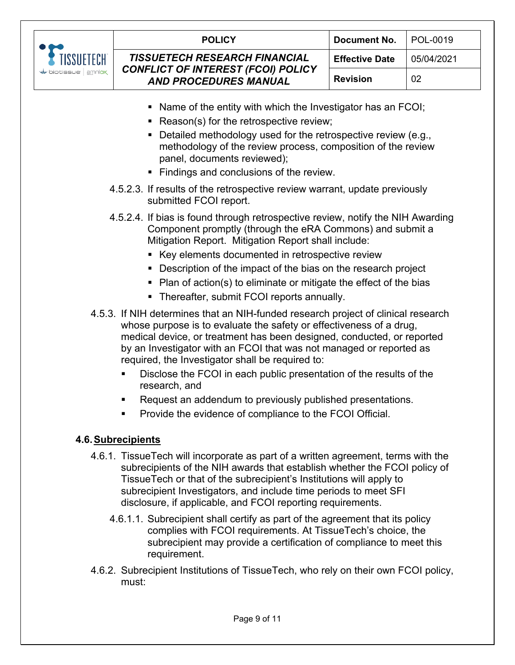

| <b>POLICY</b>                                                                                                     | Document No.          | I POL-0019 |
|-------------------------------------------------------------------------------------------------------------------|-----------------------|------------|
| <b>TISSUETECH RESEARCH FINANCIAL</b><br><b>CONFLICT OF INTEREST (FCOI) POLICY</b><br><b>AND PROCEDURES MANUAL</b> | <b>Effective Date</b> | 05/04/2021 |
|                                                                                                                   | <b>Revision</b>       | 02         |
|                                                                                                                   |                       |            |

- Name of the entity with which the Investigator has an FCOI;
- Reason(s) for the retrospective review;
- Detailed methodology used for the retrospective review (e.g., methodology of the review process, composition of the review panel, documents reviewed);
- **Findings and conclusions of the review.**
- 4.5.2.3. If results of the retrospective review warrant, update previously submitted FCOI report.
- 4.5.2.4. If bias is found through retrospective review, notify the NIH Awarding Component promptly (through the eRA Commons) and submit a Mitigation Report. Mitigation Report shall include:
	- Key elements documented in retrospective review
	- Description of the impact of the bias on the research project
	- $\blacksquare$  Plan of action(s) to eliminate or mitigate the effect of the bias
	- **Thereafter, submit FCOI reports annually.**
- 4.5.3. If NIH determines that an NIH-funded research project of clinical research whose purpose is to evaluate the safety or effectiveness of a drug, medical device, or treatment has been designed, conducted, or reported by an Investigator with an FCOI that was not managed or reported as required, the Investigator shall be required to:
	- Disclose the FCOI in each public presentation of the results of the research, and
	- Request an addendum to previously published presentations.
	- Provide the evidence of compliance to the FCOI Official.

#### **4.6.Subrecipients**

- 4.6.1. TissueTech will incorporate as part of a written agreement, terms with the subrecipients of the NIH awards that establish whether the FCOI policy of TissueTech or that of the subrecipient's Institutions will apply to subrecipient Investigators, and include time periods to meet SFI disclosure, if applicable, and FCOI reporting requirements.
	- 4.6.1.1. Subrecipient shall certify as part of the agreement that its policy complies with FCOI requirements. At TissueTech's choice, the subrecipient may provide a certification of compliance to meet this requirement.
- 4.6.2. Subrecipient Institutions of TissueTech, who rely on their own FCOI policy, must: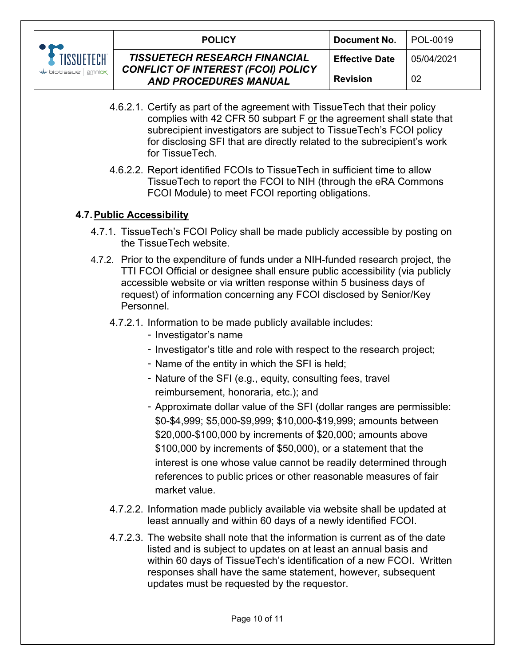

|       | <b>POLICY</b>                                                             | <b>Document No.</b>   | l POL-0019 |
|-------|---------------------------------------------------------------------------|-----------------------|------------|
| ECH   | <b>TISSUETECH RESEARCH FINANCIAL</b>                                      | <b>Effective Date</b> | 05/04/2021 |
| nniox | <b>CONFLICT OF INTEREST (FCOI) POLICY</b><br><b>AND PROCEDURES MANUAL</b> | <b>Revision</b>       | 02         |

- 4.6.2.1. Certify as part of the agreement with TissueTech that their policy complies with 42 CFR 50 subpart F or the agreement shall state that subrecipient investigators are subject to TissueTech's FCOI policy for disclosing SFI that are directly related to the subrecipient's work for TissueTech.
- 4.6.2.2. Report identified FCOIs to TissueTech in sufficient time to allow TissueTech to report the FCOI to NIH (through the eRA Commons FCOI Module) to meet FCOI reporting obligations.

### **4.7.Public Accessibility**

- 4.7.1. TissueTech's FCOI Policy shall be made publicly accessible by posting on the TissueTech website.
- 4.7.2. Prior to the expenditure of funds under a NIH-funded research project, the TTI FCOI Official or designee shall ensure public accessibility (via publicly accessible website or via written response within 5 business days of request) of information concerning any FCOI disclosed by Senior/Key Personnel.
	- 4.7.2.1. Information to be made publicly available includes:
		- Investigator's name
		- Investigator's title and role with respect to the research project;
		- Name of the entity in which the SFI is held;
		- Nature of the SFI (e.g., equity, consulting fees, travel reimbursement, honoraria, etc.); and
		- Approximate dollar value of the SFI (dollar ranges are permissible: \$0-\$4,999; \$5,000-\$9,999; \$10,000-\$19,999; amounts between \$20,000-\$100,000 by increments of \$20,000; amounts above \$100,000 by increments of \$50,000), or a statement that the interest is one whose value cannot be readily determined through references to public prices or other reasonable measures of fair market value.
	- 4.7.2.2. Information made publicly available via website shall be updated at least annually and within 60 days of a newly identified FCOI.
	- 4.7.2.3. The website shall note that the information is current as of the date listed and is subject to updates on at least an annual basis and within 60 days of TissueTech's identification of a new FCOI. Written responses shall have the same statement, however, subsequent updates must be requested by the requestor.